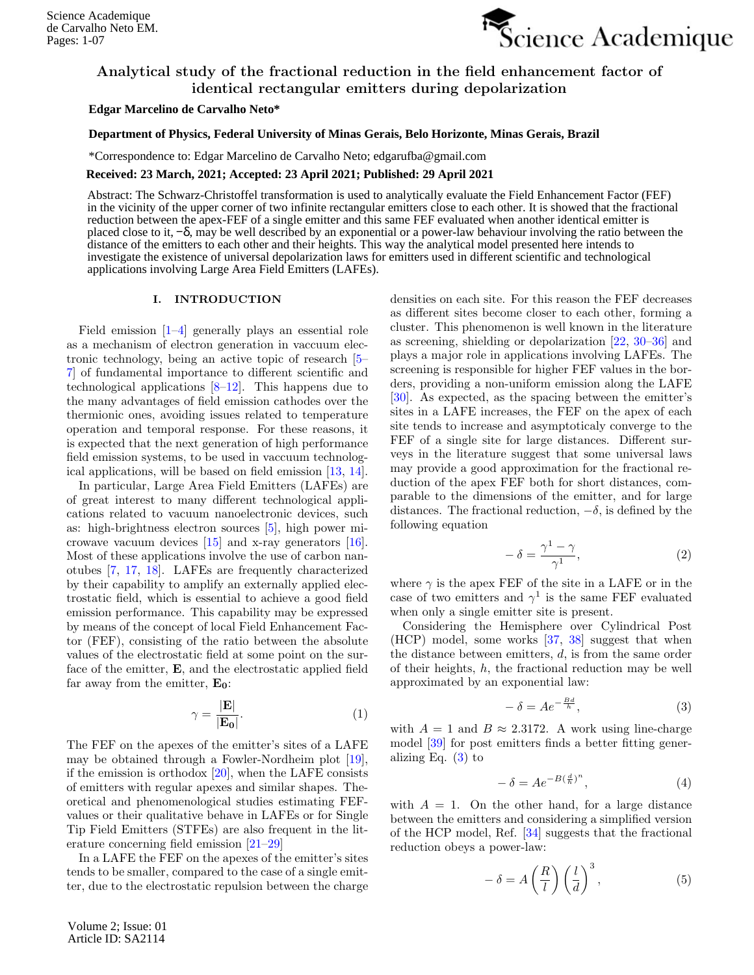

# Analytical study of the fractional reduction in the field enhancement factor of identical rectangular emitters during depolarization

## **Edgar Marcelino de Carvalho Neto\***

## 1 **Department of Physics, Federal University of Minas Gerais, Belo Horizonte, Minas Gerais, Brazil**

C. P. 702, 30123-970, Belo Horizonte, Minas Gerais, Brazil \*Correspondence to: Edgar Marcelino de Carvalho Neto; edgarufba@gmail.com

### **Received: 23 March, 2021; Accepted: 23 April 2021; Published: 29 April 2021**

Abstract: The Schwarz-Christoffel transformation is used to analytically evaluate the Field Enhancement Factor (FEF) in the vicinity of the upper corner of two infinite rectangular emitters close to each other. It is showed that the fractional reduction between the apex-FEF of a single emitter and this same FEF evaluated when another identical emitter is placed close to it, −δ, may be well described by an exponential or a power-law behaviour involving the ratio between the distance of the emitters to each other and their heights. This way the analytical model presented here intends to investigate the existence of universal depolarization laws for emitters used in different scientific and technological applications involving Large Area Field Emitters (LAFEs).

# I. INTRODUCTION

Field emission [\[1](#page-4-0)[–4\]](#page-5-0) generally plays an essential role as a mechanism of electron generation in vaccuum electronic technology, being an active topic of research [\[5–](#page-5-1) [7\]](#page-5-2) of fundamental importance to different scientific and technological applications  $[8-12]$  $[8-12]$ . This happens due to the many advantages of field emission cathodes over the thermionic ones, avoiding issues related to temperature operation and temporal response. For these reasons, it is expected that the next generation of high performance field emission systems, to be used in vaccuum technological applications, will be based on field emission [\[13,](#page-5-5) [14\]](#page-5-6).

In particular, Large Area Field Emitters (LAFEs) are of great interest to many different technological applications related to vacuum nanoelectronic devices, such as: high-brightness electron sources [\[5\]](#page-5-1), high power microwave vacuum devices [\[15\]](#page-5-7) and x-ray generators [\[16\]](#page-5-8). Most of these applications involve the use of carbon nanotubes [\[7,](#page-5-2) [17,](#page-5-9) [18\]](#page-5-10). LAFEs are frequently characterized by their capability to amplify an externally applied electrostatic field, which is essential to achieve a good field emission performance. This capability may be expressed by means of the concept of local Field Enhancement Factor (FEF), consisting of the ratio between the absolute values of the electrostatic field at some point on the surface of the emitter, E, and the electrostatic applied field far away from the emitter,  $E_0$ :

$$
\gamma = \frac{|\mathbf{E}|}{|\mathbf{E_0}|}.\tag{1}
$$

The FEF on the apexes of the emitter's sites of a LAFE may be obtained through a Fowler-Nordheim plot [\[19\]](#page-5-11), if the emission is orthodox  $[20]$ , when the LAFE consists of emitters with regular apexes and similar shapes. Theoretical and phenomenological studies estimating FEFvalues or their qualitative behave in LAFEs or for Single Tip Field Emitters (STFEs) are also frequent in the literature concerning field emission [\[21](#page-5-13)[–29\]](#page-5-14)

In a LAFE the FEF on the apexes of the emitter's sites tends to be smaller, compared to the case of a single emitter, due to the electrostatic repulsion between the charge

Volume 2; Issue: 01 Article ID: SA2114

densities on each site. For this reason the FEF decreases as different sites become closer to each other, forming a cluster. This phenomenon is well known in the literature as screening, shielding or depolarization [\[22,](#page-5-15) [30–](#page-5-16)[36\]](#page-5-17) and plays a major role in applications involving LAFEs. The screening is responsible for higher FEF values in the borders, providing a non-uniform emission along the LAFE [\[30\]](#page-5-16). As expected, as the spacing between the emitter's sites in a LAFE increases, the FEF on the apex of each site tends to increase and asymptoticaly converge to the FEF of a single site for large distances. Different surveys in the literature suggest that some universal laws may provide a good approximation for the fractional reduction of the apex FEF both for short distances, comparable to the dimensions of the emitter, and for large distances. The fractional reduction,  $-\delta$ , is defined by the following equation

<span id="page-0-2"></span>
$$
-\delta = \frac{\gamma^1 - \gamma}{\gamma^1},\tag{2}
$$

where  $\gamma$  is the apex FEF of the site in a LAFE or in the case of two emitters and  $\gamma^1$  is the same FEF evaluated when only a single emitter site is present.

Considering the Hemisphere over Cylindrical Post (HCP) model, some works [\[37,](#page-5-18) [38\]](#page-5-19) suggest that when the distance between emitters,  $d$ , is from the same order of their heights,  $h$ , the fractional reduction may be well approximated by an exponential law:

<span id="page-0-0"></span>
$$
-\delta = Ae^{-\frac{Bd}{h}},\tag{3}
$$

with  $A = 1$  and  $B \approx 2.3172$ . A work using line-charge model [\[39\]](#page-5-20) for post emitters finds a better fitting generalizing Eq.  $(3)$  to

<span id="page-0-3"></span>
$$
-\delta = Ae^{-B(\frac{d}{h})^n},\tag{4}
$$

with  $A = 1$ . On the other hand, for a large distance between the emitters and considering a simplified version of the HCP model, Ref. [\[34\]](#page-5-21) suggests that the fractional reduction obeys a power-law:

<span id="page-0-1"></span>
$$
-\delta = A\left(\frac{R}{l}\right)\left(\frac{l}{d}\right)^3,\tag{5}
$$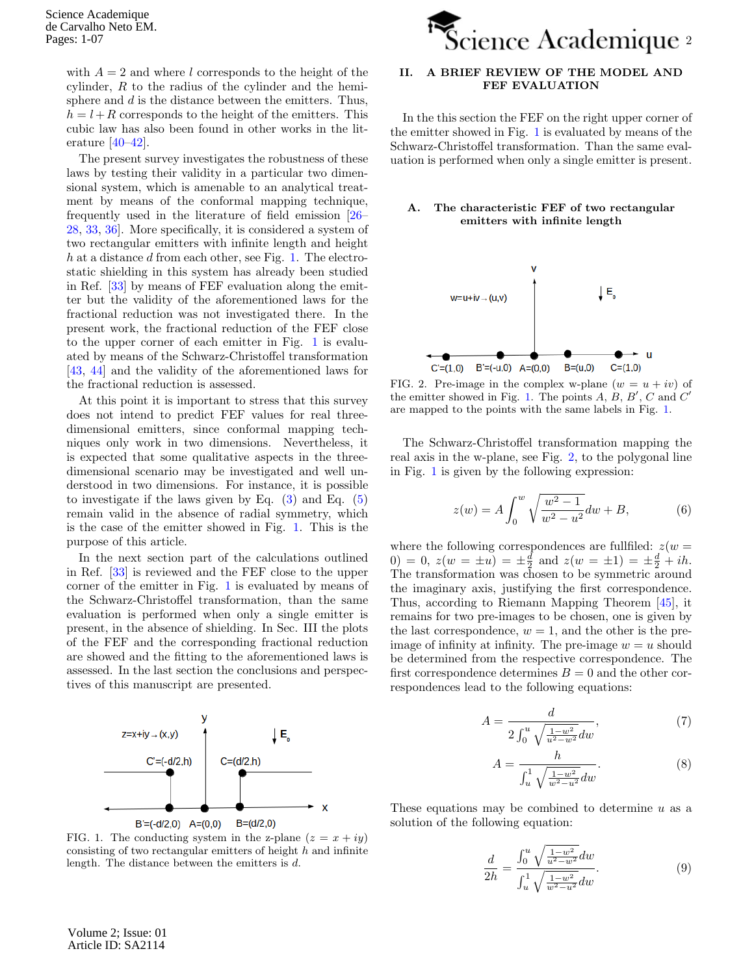with  $A = 2$  and where l corresponds to the height of the cylinder, R to the radius of the cylinder and the hemisphere and  $d$  is the distance between the emitters. Thus,  $h = l + R$  corresponds to the height of the emitters. This cubic law has also been found in other works in the literature  $[40-42]$  $[40-42]$ .

The present survey investigates the robustness of these laws by testing their validity in a particular two dimensional system, which is amenable to an analytical treatment by means of the conformal mapping technique, frequently used in the literature of field emission [\[26–](#page-5-23) [28,](#page-5-24) [33,](#page-5-25) [36\]](#page-5-17). More specifically, it is considered a system of two rectangular emitters with infinite length and height  $h$  at a distance  $d$  from each other, see Fig. [1.](#page-1-0) The electrostatic shielding in this system has already been studied in Ref. [\[33\]](#page-5-25) by means of FEF evaluation along the emitter but the validity of the aforementioned laws for the fractional reduction was not investigated there. In the present work, the fractional reduction of the FEF close to the upper corner of each emitter in Fig. [1](#page-1-0) is evaluated by means of the Schwarz-Christoffel transformation [\[43,](#page-6-1) [44\]](#page-6-2) and the validity of the aforementioned laws for the fractional reduction is assessed.

At this point it is important to stress that this survey does not intend to predict FEF values for real threedimensional emitters, since conformal mapping techniques only work in two dimensions. Nevertheless, it is expected that some qualitative aspects in the threedimensional scenario may be investigated and well understood in two dimensions. For instance, it is possible to investigate if the laws given by Eq.  $(3)$  and Eq.  $(5)$ remain valid in the absence of radial symmetry, which is the case of the emitter showed in Fig. [1.](#page-1-0) This is the purpose of this article.

In the next section part of the calculations outlined in Ref. [\[33\]](#page-5-25) is reviewed and the FEF close to the upper corner of the emitter in Fig. [1](#page-1-0) is evaluated by means of the Schwarz-Christoffel transformation, than the same evaluation is performed when only a single emitter is present, in the absence of shielding. In Sec. III the plots of the FEF and the corresponding fractional reduction are showed and the fitting to the aforementioned laws is assessed. In the last section the conclusions and perspectives of this manuscript are presented.



<span id="page-1-0"></span>FIG. 1. The conducting system in the z-plane  $(z = x + iy)$ consisting of two rectangular emitters of height  $h$  and infinite length. The distance between the emitters is d.



# II. A BRIEF REVIEW OF THE MODEL AND FEF EVALUATION

In the this section the FEF on the right upper corner of the emitter showed in Fig. [1](#page-1-0) is evaluated by means of the Schwarz-Christoffel transformation. Than the same evaluation is performed when only a single emitter is present.

# The characteristic FEF of two rectangular emitters with infinite length



<span id="page-1-1"></span>FIG. 2. Pre-image in the complex w-plane  $(w = u + iv)$  of the emitter showed in Fig. [1.](#page-1-0) The points  $A, B, B', C$  and  $C'$ are mapped to the points with the same labels in Fig. [1.](#page-1-0)

The Schwarz-Christoffel transformation mapping the real axis in the w-plane, see Fig. [2,](#page-1-1) to the polygonal line in Fig. [1](#page-1-0) is given by the following expression:

<span id="page-1-2"></span>
$$
z(w) = A \int_0^w \sqrt{\frac{w^2 - 1}{w^2 - u^2}} dw + B,\tag{6}
$$

where the following correspondences are fullfiled:  $z(w =$  $(0) = 0, z(w = \pm u) = \pm \frac{d}{2}$  and  $z(w = \pm 1) = \pm \frac{d}{2} + ih$ . The transformation was chosen to be symmetric around the imaginary axis, justifying the first correspondence. Thus, according to Riemann Mapping Theorem [\[45\]](#page-6-3), it remains for two pre-images to be chosen, one is given by the last correspondence,  $w = 1$ , and the other is the preimage of infinity at infinity. The pre-image  $w = u$  should be determined from the respective correspondence. The first correspondence determines  $B = 0$  and the other correspondences lead to the following equations:

<span id="page-1-3"></span>
$$
A = \frac{d}{2\int_0^u \sqrt{\frac{1 - w^2}{u^2 - w^2}} dw},\tag{7}
$$

$$
A = \frac{h}{\int_{u}^{1} \sqrt{\frac{1 - w^2}{w^2 - u^2}} dw}.
$$
 (8)

These equations may be combined to determine  $u$  as a solution of the following equation:

<span id="page-1-4"></span>
$$
\frac{d}{2h} = \frac{\int_0^u \sqrt{\frac{1 - w^2}{u^2 - w^2}} dw}{\int_u^1 \sqrt{\frac{1 - w^2}{w^2 - u^2}} dw}.
$$
\n(9)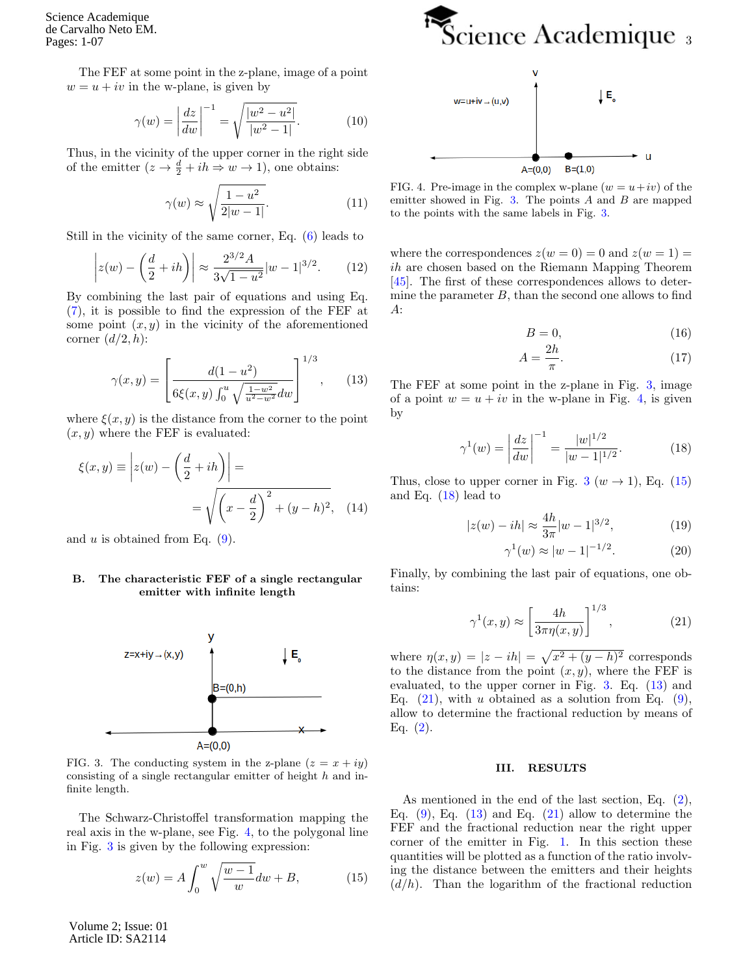Science Academique de Carvalho Neto EM. Pages: 1-07

> The FEF at some point in the z-plane, image of a point  $w = u + iv$  in the w-plane, is given by

$$
\gamma(w) = \left| \frac{dz}{dw} \right|^{-1} = \sqrt{\frac{|w^2 - u^2|}{|w^2 - 1|}}.
$$
 (10)

Thus, in the vicinity of the upper corner in the right side of the emitter  $(z \to \frac{d}{2} + ih \Rightarrow w \to 1)$ , one obtains:

$$
\gamma(w) \approx \sqrt{\frac{1 - u^2}{2|w - 1|}}.\tag{11}
$$

Still in the vicinity of the same corner, Eq. [\(6\)](#page-1-2) leads to

$$
\left| z(w) - \left(\frac{d}{2} + ih\right) \right| \approx \frac{2^{3/2} A}{3\sqrt{1 - u^2}} |w - 1|^{3/2}.
$$
 (12)

By combining the last pair of equations and using Eq. [\(7\)](#page-1-3), it is possible to find the expression of the FEF at some point  $(x, y)$  in the vicinity of the aforementioned corner  $(d/2,h)$ :

<span id="page-2-4"></span>
$$
\gamma(x,y) = \left[\frac{d(1-u^2)}{6\xi(x,y)\int_0^u \sqrt{\frac{1-w^2}{u^2-w^2}}dw}\right]^{1/3},\qquad(13)
$$

where  $\xi(x, y)$  is the distance from the corner to the point  $(x, y)$  where the FEF is evaluated:

$$
\xi(x,y) \equiv \left| z(w) - \left( \frac{d}{2} + ih \right) \right| =
$$
  
=  $\sqrt{\left( x - \frac{d}{2} \right)^2 + (y - h)^2}$ , (14)

and u is obtained from Eq.  $(9)$ .

### B. The characteristic FEF of a single rectangular emitter with infinite length



<span id="page-2-1"></span>FIG. 3. The conducting system in the z-plane  $(z = x + iy)$ consisting of a single rectangular emitter of height h and infinite length.

The Schwarz-Christoffel transformation mapping the real axis in the w-plane, see Fig. [4,](#page-2-0) to the polygonal line in Fig. [3](#page-2-1) is given by the following expression:

<span id="page-2-2"></span>
$$
z(w) = A \int_0^w \sqrt{\frac{w-1}{w}} dw + B,\tag{15}
$$

Volume 2; Issue: 01 Article ID: SA2114





<span id="page-2-0"></span>FIG. 4. Pre-image in the complex w-plane  $(w = u + iv)$  of the emitter showed in Fig.  $3$ . The points  $A$  and  $B$  are mapped to the points with the same labels in Fig. [3.](#page-2-1)

where the correspondences  $z(w = 0) = 0$  and  $z(w = 1) = 0$ ih are chosen based on the Riemann Mapping Theorem [\[45\]](#page-6-3). The first of these correspondences allows to determine the parameter  $B$ , than the second one allows to find A:

$$
B = 0,\t(16)
$$

$$
A = \frac{2h}{\pi}.\tag{17}
$$

The FEF at some point in the z-plane in Fig. [3,](#page-2-1) image of a point  $w = u + iv$  in the w-plane in Fig. [4,](#page-2-0) is given by

<span id="page-2-3"></span>
$$
\gamma^{1}(w) = \left| \frac{dz}{dw} \right|^{-1} = \frac{|w|^{1/2}}{|w - 1|^{1/2}}.
$$
 (18)

Thus, close to upper corner in Fig. [3](#page-2-1) ( $w \rightarrow 1$ ), Eq. [\(15\)](#page-2-2) and Eq.  $(18)$  lead to

$$
|z(w) - ih| \approx \frac{4h}{3\pi}|w - 1|^{3/2},\tag{19}
$$

$$
\gamma^1(w) \approx |w - 1|^{-1/2}.
$$
 (20)

Finally, by combining the last pair of equations, one obtains:

<span id="page-2-5"></span>
$$
\gamma^1(x, y) \approx \left[\frac{4h}{3\pi\eta(x, y)}\right]^{1/3},\tag{21}
$$

where  $\eta(x,y) = |z - ih| = \sqrt{x^2 + (y - h)^2}$  corresponds to the distance from the point  $(x, y)$ , where the FEF is evaluated, to the upper corner in Fig. [3.](#page-2-1) Eq. [\(13\)](#page-2-4) and Eq.  $(21)$ , with u obtained as a solution from Eq.  $(9)$ , allow to determine the fractional reduction by means of Eq.  $(2)$ .

#### III. RESULTS

As mentioned in the end of the last section, Eq. [\(2\)](#page-0-2), Eq.  $(9)$ , Eq.  $(13)$  and Eq.  $(21)$  allow to determine the FEF and the fractional reduction near the right upper corner of the emitter in Fig. [1.](#page-1-0) In this section these quantities will be plotted as a function of the ratio involving the distance between the emitters and their heights  $(d/h)$ . Than the logarithm of the fractional reduction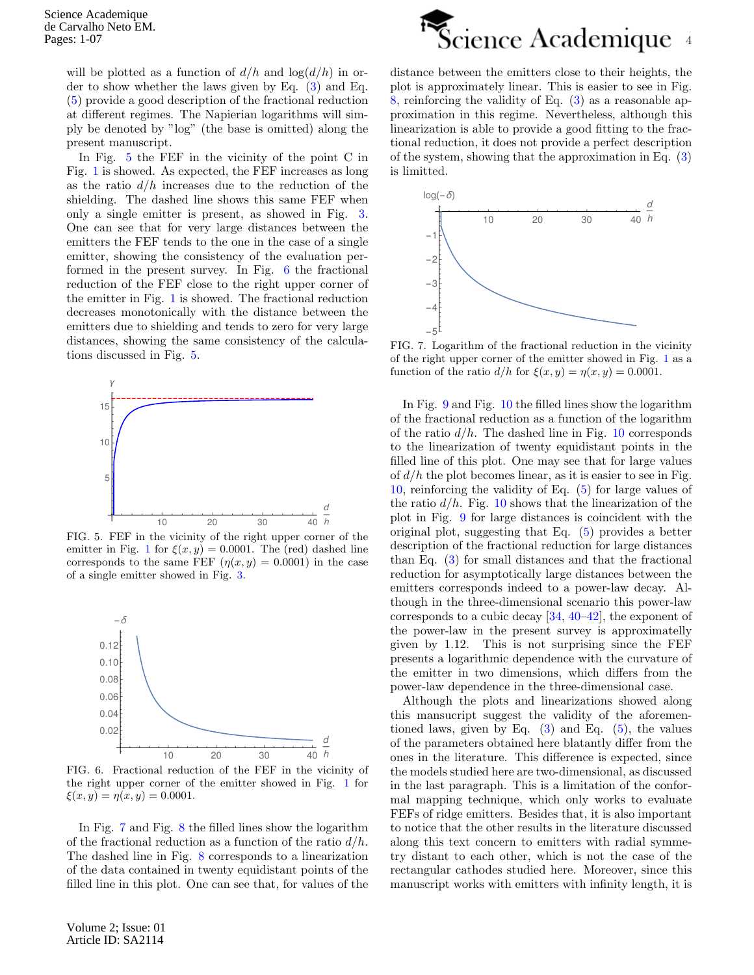will be plotted as a function of  $d/h$  and  $\log(d/h)$  in order to show whether the laws given by Eq. [\(3\)](#page-0-0) and Eq. [\(5\)](#page-0-1) provide a good description of the fractional reduction at different regimes. The Napierian logarithms will simply be denoted by "log" (the base is omitted) along the present manuscript.

In Fig. [5](#page-3-0) the FEF in the vicinity of the point C in Fig. [1](#page-1-0) is showed. As expected, the FEF increases as long as the ratio  $d/h$  increases due to the reduction of the shielding. The dashed line shows this same FEF when only a single emitter is present, as showed in Fig. [3.](#page-2-1) One can see that for very large distances between the emitters the FEF tends to the one in the case of a single emitter, showing the consistency of the evaluation performed in the present survey. In Fig. [6](#page-3-1) the fractional reduction of the FEF close to the right upper corner of the emitter in Fig. [1](#page-1-0) is showed. The fractional reduction decreases monotonically with the distance between the emitters due to shielding and tends to zero for very large distances, showing the same consistency of the calculations discussed in Fig. [5.](#page-3-0)



<span id="page-3-0"></span>FIG. 5. FEF in the vicinity of the right upper corner of the emitter in Fig. [1](#page-1-0) for  $\xi(x, y) = 0.0001$ . The (red) dashed line corresponds to the same FEF  $(\eta(x, y) = 0.0001)$  in the case of a single emitter showed in Fig. [3.](#page-2-1)



<span id="page-3-1"></span>FIG. 6. Fractional reduction of the FEF in the vicinity of the right upper corner of the emitter showed in Fig. [1](#page-1-0) for  $\xi(x, y) = \eta(x, y) = 0.0001.$ 

In Fig. [7](#page-3-2) and Fig. [8](#page-4-1) the filled lines show the logarithm of the fractional reduction as a function of the ratio  $d/h$ . The dashed line in Fig. [8](#page-4-1) corresponds to a linearization of the data contained in twenty equidistant points of the filled line in this plot. One can see that, for values of the

Volume 2; Issue: 01 Article ID: SA2114



distance between the emitters close to their heights, the plot is approximately linear. This is easier to see in Fig. [8,](#page-4-1) reinforcing the validity of Eq. [\(3\)](#page-0-0) as a reasonable approximation in this regime. Nevertheless, although this linearization is able to provide a good fitting to the fractional reduction, it does not provide a perfect description of the system, showing that the approximation in Eq. [\(3\)](#page-0-0) is limitted.



<span id="page-3-2"></span>FIG. 7. Logarithm of the fractional reduction in the vicinity of the right upper corner of the emitter showed in Fig. [1](#page-1-0) as a function of the ratio  $d/h$  for  $\xi(x, y) = \eta(x, y) = 0.0001$ .

In Fig. [9](#page-4-2) and Fig. [10](#page-4-3) the filled lines show the logarithm of the fractional reduction as a function of the logarithm of the ratio  $d/h$ . The dashed line in Fig. [10](#page-4-3) corresponds to the linearization of twenty equidistant points in the filled line of this plot. One may see that for large values of  $d/h$  the plot becomes linear, as it is easier to see in Fig. [10,](#page-4-3) reinforcing the validity of Eq. [\(5\)](#page-0-1) for large values of the ratio  $d/h$ . Fig. [10](#page-4-3) shows that the linearization of the plot in Fig. [9](#page-4-2) for large distances is coincident with the original plot, suggesting that Eq. [\(5\)](#page-0-1) provides a better description of the fractional reduction for large distances than Eq. [\(3\)](#page-0-0) for small distances and that the fractional reduction for asymptotically large distances between the emitters corresponds indeed to a power-law decay. Although in the three-dimensional scenario this power-law corresponds to a cubic decay [\[34,](#page-5-21) [40–](#page-5-22)[42\]](#page-6-0), the exponent of the power-law in the present survey is approximatelly given by 1.12. This is not surprising since the FEF presents a logarithmic dependence with the curvature of the emitter in two dimensions, which differs from the power-law dependence in the three-dimensional case.

Although the plots and linearizations showed along this mansucript suggest the validity of the aforementioned laws, given by Eq.  $(3)$  and Eq.  $(5)$ , the values of the parameters obtained here blatantly differ from the ones in the literature. This difference is expected, since the models studied here are two-dimensional, as discussed in the last paragraph. This is a limitation of the conformal mapping technique, which only works to evaluate FEFs of ridge emitters. Besides that, it is also important to notice that the other results in the literature discussed along this text concern to emitters with radial symmetry distant to each other, which is not the case of the rectangular cathodes studied here. Moreover, since this manuscript works with emitters with infinity length, it is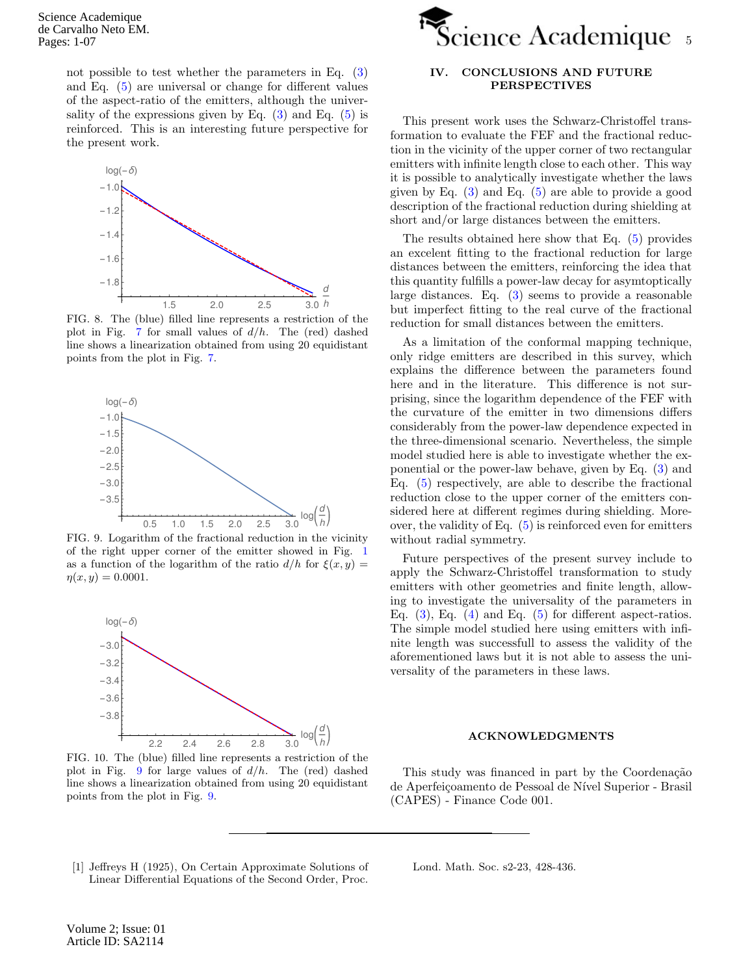Science Academique de Carvalho Neto EM. Pages: 1-07

> not possible to test whether the parameters in Eq. [\(3\)](#page-0-0) and Eq. [\(5\)](#page-0-1) are universal or change for different values of the aspect-ratio of the emitters, although the universality of the expressions given by Eq.  $(3)$  and Eq.  $(5)$  is reinforced. This is an interesting future perspective for the present work.



<span id="page-4-1"></span>FIG. 8. The (blue) filled line represents a restriction of the plot in Fig. [7](#page-3-2) for small values of  $d/h$ . The (red) dashed line shows a linearization obtained from using 20 equidistant points from the plot in Fig. [7.](#page-3-2)



<span id="page-4-2"></span>FIG. 9. Logarithm of the fractional reduction in the vicinity of the right upper corner of the emitter showed in Fig. [1](#page-1-0) as a function of the logarithm of the ratio  $d/h$  for  $\xi(x, y) =$  $\eta(x, y) = 0.0001.$ 



<span id="page-4-3"></span>FIG. 10. The (blue) filled line represents a restriction of the plot in Fig. [9](#page-4-2) for large values of  $d/h$ . The (red) dashed line shows a linearization obtained from using 20 equidistant points from the plot in Fig. [9.](#page-4-2)



# IV. CONCLUSIONS AND FUTURE PERSPECTIVES

This present work uses the Schwarz-Christoffel transformation to evaluate the FEF and the fractional reduction in the vicinity of the upper corner of two rectangular emitters with infinite length close to each other. This way it is possible to analytically investigate whether the laws given by Eq.  $(3)$  and Eq.  $(5)$  are able to provide a good description of the fractional reduction during shielding at short and/or large distances between the emitters.

The results obtained here show that Eq. [\(5\)](#page-0-1) provides an excelent fitting to the fractional reduction for large distances between the emitters, reinforcing the idea that this quantity fulfills a power-law decay for asymtoptically large distances. Eq. [\(3\)](#page-0-0) seems to provide a reasonable but imperfect fitting to the real curve of the fractional reduction for small distances between the emitters.

As a limitation of the conformal mapping technique, only ridge emitters are described in this survey, which explains the difference between the parameters found here and in the literature. This difference is not surprising, since the logarithm dependence of the FEF with the curvature of the emitter in two dimensions differs considerably from the power-law dependence expected in the three-dimensional scenario. Nevertheless, the simple model studied here is able to investigate whether the exponential or the power-law behave, given by Eq. [\(3\)](#page-0-0) and Eq. [\(5\)](#page-0-1) respectively, are able to describe the fractional reduction close to the upper corner of the emitters considered here at different regimes during shielding. Moreover, the validity of Eq.  $(5)$  is reinforced even for emitters without radial symmetry.

Future perspectives of the present survey include to apply the Schwarz-Christoffel transformation to study emitters with other geometries and finite length, allowing to investigate the universality of the parameters in Eq.  $(3)$ , Eq.  $(4)$  and Eq.  $(5)$  for different aspect-ratios. The simple model studied here using emitters with infinite length was successfull to assess the validity of the aforementioned laws but it is not able to assess the universality of the parameters in these laws.

### ACKNOWLEDGMENTS

This study was financed in part by the Coordenação de Aperfeiçoamento de Pessoal de Nível Superior - Brasil (CAPES) - Finance Code 001.

<span id="page-4-0"></span>[1] Jeffreys H (1925), On Certain Approximate Solutions of Linear Differential Equations of the Second Order, Proc.

Lond. Math. Soc. s2-23, 428-436.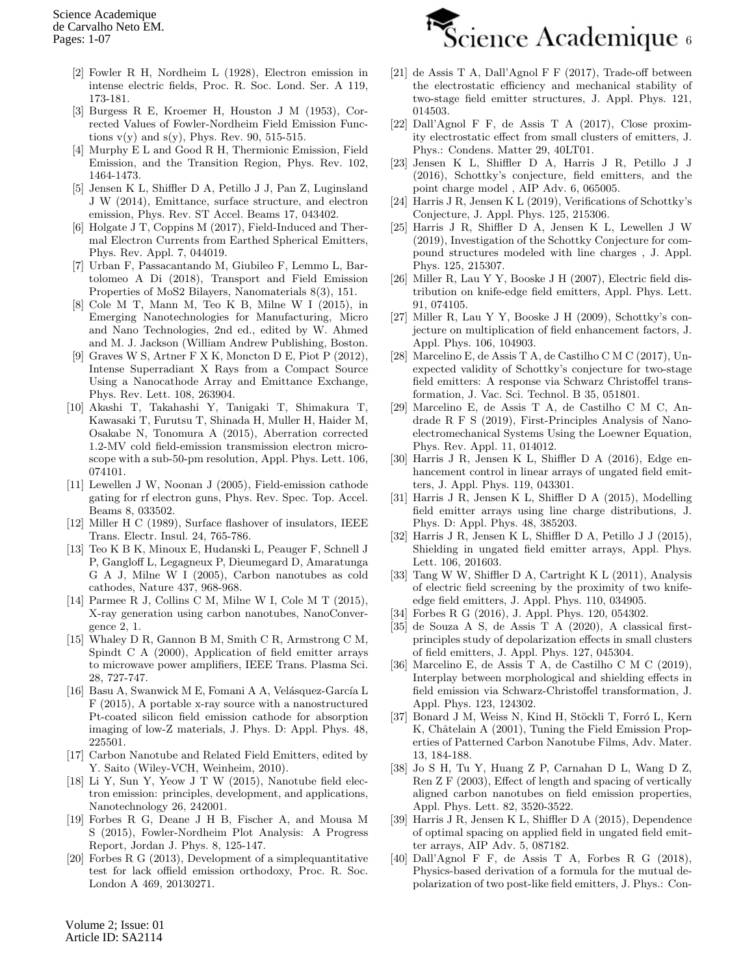- [2] Fowler R H, Nordheim L (1928), Electron emission in intense electric fields, Proc. R. Soc. Lond. Ser. A 119, 173-181.
- [3] Burgess R E, Kroemer H, Houston J M (1953), Corrected Values of Fowler-Nordheim Field Emission Functions  $v(y)$  and  $s(y)$ , Phys. Rev. 90, 515-515.
- <span id="page-5-0"></span>[4] Murphy E L and Good R H, Thermionic Emission, Field Emission, and the Transition Region, Phys. Rev. 102, 1464-1473.
- <span id="page-5-1"></span>[5] Jensen K L, Shiffler D A, Petillo J J, Pan Z, Luginsland J W (2014), Emittance, surface structure, and electron emission, Phys. Rev. ST Accel. Beams 17, 043402.
- [6] Holgate J T, Coppins M (2017), Field-Induced and Thermal Electron Currents from Earthed Spherical Emitters, Phys. Rev. Appl. 7, 044019.
- <span id="page-5-2"></span>[7] Urban F, Passacantando M, Giubileo F, Lemmo L, Bartolomeo A Di (2018), Transport and Field Emission Properties of MoS2 Bilayers, Nanomaterials 8(3), 151.
- <span id="page-5-3"></span>[8] Cole M T, Mann M, Teo K B, Milne W I (2015), in Emerging Nanotechnologies for Manufacturing, Micro and Nano Technologies, 2nd ed., edited by W. Ahmed and M. J. Jackson (William Andrew Publishing, Boston.
- [9] Graves W S, Artner F X K, Moncton D E, Piot P (2012), Intense Superradiant X Rays from a Compact Source Using a Nanocathode Array and Emittance Exchange, Phys. Rev. Lett. 108, 263904.
- [10] Akashi T, Takahashi Y, Tanigaki T, Shimakura T, Kawasaki T, Furutsu T, Shinada H, Muller H, Haider M, Osakabe N, Tonomura A (2015), Aberration corrected 1.2-MV cold field-emission transmission electron microscope with a sub-50-pm resolution, Appl. Phys. Lett. 106, 074101.
- [11] Lewellen J W, Noonan J (2005), Field-emission cathode gating for rf electron guns, Phys. Rev. Spec. Top. Accel. Beams 8, 033502.
- <span id="page-5-4"></span>[12] Miller H C (1989), Surface flashover of insulators, IEEE Trans. Electr. Insul. 24, 765-786.
- <span id="page-5-5"></span>[13] Teo K B K, Minoux E, Hudanski L, Peauger F, Schnell J P, Gangloff L, Legagneux P, Dieumegard D, Amaratunga G A J, Milne W I (2005), Carbon nanotubes as cold cathodes, Nature 437, 968-968.
- <span id="page-5-6"></span>[14] Parmee R J, Collins C M, Milne W I, Cole M T (2015), X-ray generation using carbon nanotubes, NanoConvergence 2, 1.
- <span id="page-5-7"></span>[15] Whaley D R, Gannon B M, Smith C R, Armstrong C M, Spindt C A (2000), Application of field emitter arrays to microwave power amplifiers, IEEE Trans. Plasma Sci. 28, 727-747.
- <span id="page-5-8"></span>[16] Basu A, Swanwick M E, Fomani A A, Velásquez-García L F (2015), A portable x-ray source with a nanostructured Pt-coated silicon field emission cathode for absorption imaging of low-Z materials, J. Phys. D: Appl. Phys. 48, 225501.
- <span id="page-5-9"></span>[17] Carbon Nanotube and Related Field Emitters, edited by Y. Saito (Wiley-VCH, Weinheim, 2010).
- <span id="page-5-10"></span>[18] Li Y, Sun Y, Yeow J T W (2015), Nanotube field electron emission: principles, development, and applications, Nanotechnology 26, 242001.
- <span id="page-5-11"></span>[19] Forbes R G, Deane J H B, Fischer A, and Mousa M S (2015), Fowler-Nordheim Plot Analysis: A Progress Report, Jordan J. Phys. 8, 125-147.
- <span id="page-5-12"></span>[20] Forbes R G (2013), Development of a simplequantitative test for lack offield emission orthodoxy, Proc. R. Soc. London A 469, 20130271.



- <span id="page-5-13"></span>[21] de Assis T A, Dall'Agnol F F (2017), Trade-off between the electrostatic efficiency and mechanical stability of two-stage field emitter structures, J. Appl. Phys. 121, 014503.
- <span id="page-5-15"></span>[22] Dall'Agnol F F, de Assis T A (2017), Close proximity electrostatic effect from small clusters of emitters, J. Phys.: Condens. Matter 29, 40LT01.
- [23] Jensen K L, Shiffler D A, Harris J R, Petillo J J (2016), Schottky's conjecture, field emitters, and the point charge model , AIP Adv. 6, 065005.
- [24] Harris J R, Jensen K L (2019), Verifications of Schottky's Conjecture, J. Appl. Phys. 125, 215306.
- [25] Harris J R, Shiffler D A, Jensen K L, Lewellen J W (2019), Investigation of the Schottky Conjecture for compound structures modeled with line charges , J. Appl. Phys. 125, 215307.
- <span id="page-5-23"></span>[26] Miller R, Lau Y Y, Booske J H (2007), Electric field distribution on knife-edge field emitters, Appl. Phys. Lett. 91, 074105.
- [27] Miller R, Lau Y Y, Booske J H (2009), Schottky's conjecture on multiplication of field enhancement factors, J. Appl. Phys. 106, 104903.
- <span id="page-5-24"></span>[28] Marcelino E, de Assis T A, de Castilho C M C (2017), Unexpected validity of Schottky's conjecture for two-stage field emitters: A response via Schwarz Christoffel transformation, J. Vac. Sci. Technol. B 35, 051801.
- <span id="page-5-14"></span>[29] Marcelino E, de Assis T A, de Castilho C M C, Andrade R F S (2019), First-Principles Analysis of Nanoelectromechanical Systems Using the Loewner Equation, Phys. Rev. Appl. 11, 014012.
- <span id="page-5-16"></span>[30] Harris J R, Jensen K L, Shiffler D A (2016), Edge enhancement control in linear arrays of ungated field emitters, J. Appl. Phys. 119, 043301.
- [31] Harris J R, Jensen K L, Shiffler D A (2015), Modelling field emitter arrays using line charge distributions, J. Phys. D: Appl. Phys. 48, 385203.
- [32] Harris J R, Jensen K L, Shiffler D A, Petillo J J (2015), Shielding in ungated field emitter arrays, Appl. Phys. Lett. 106, 201603.
- <span id="page-5-25"></span>[33] Tang W W, Shiffler D A, Cartright K L (2011), Analysis of electric field screening by the proximity of two knifeedge field emitters, J. Appl. Phys. 110, 034905.
- <span id="page-5-21"></span>[34] Forbes R G (2016), J. Appl. Phys. 120, 054302.
- [35] de Souza A S, de Assis T A (2020), A classical firstprinciples study of depolarization effects in small clusters of field emitters, J. Appl. Phys. 127, 045304.
- <span id="page-5-17"></span>[36] Marcelino E, de Assis T A, de Castilho C M C (2019), Interplay between morphological and shielding effects in field emission via Schwarz-Christoffel transformation, J. Appl. Phys. 123, 124302.
- <span id="page-5-18"></span>[37] Bonard J M, Weiss N, Kind H, Stöckli T, Forró L, Kern K, Châtelain A (2001), Tuning the Field Emission Properties of Patterned Carbon Nanotube Films, Adv. Mater. 13, 184-188.
- <span id="page-5-19"></span>[38] Jo S H, Tu Y, Huang Z P, Carnahan D L, Wang D Z, Ren Z F (2003), Effect of length and spacing of vertically aligned carbon nanotubes on field emission properties, Appl. Phys. Lett. 82, 3520-3522.
- <span id="page-5-20"></span>[39] Harris J R, Jensen K L, Shiffler D A (2015), Dependence of optimal spacing on applied field in ungated field emitter arrays, AIP Adv. 5, 087182.
- <span id="page-5-22"></span>[40] Dall'Agnol F F, de Assis T A, Forbes R G (2018), Physics-based derivation of a formula for the mutual depolarization of two post-like field emitters, J. Phys.: Con-